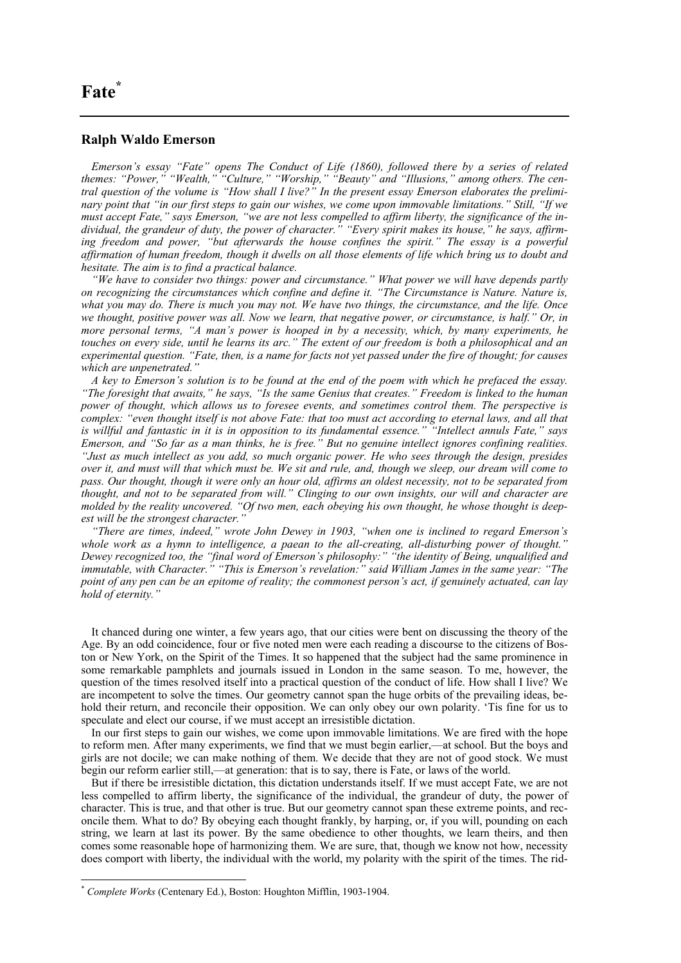## **Fate[\\*](#page-0-0)**

## **Ralph Waldo Emerson**

*Emerson's essay "Fate" opens The Conduct of Life (1860), followed there by a series of related themes: "Power," "Wealth," "Culture," "Worship," "Beauty" and "Illusions," among others. The central question of the volume is "How shall I live?" In the present essay Emerson elaborates the preliminary point that "in our first steps to gain our wishes, we come upon immovable limitations." Still, "If we must accept Fate," says Emerson, "we are not less compelled to affirm liberty, the significance of the individual, the grandeur of duty, the power of character." "Every spirit makes its house," he says, affirm*ing freedom and power, "but afterwards the house confines the spirit." The essay is a powerful *affirmation of human freedom, though it dwells on all those elements of life which bring us to doubt and hesitate. The aim is to find a practical balance.* 

*"We have to consider two things: power and circumstance." What power we will have depends partly on recognizing the circumstances which confine and define it. "The Circumstance is Nature. Nature is, what you may do. There is much you may not. We have two things, the circumstance, and the life. Once we thought, positive power was all. Now we learn, that negative power, or circumstance, is half." Or, in more personal terms, "A man's power is hooped in by a necessity, which, by many experiments, he touches on every side, until he learns its arc." The extent of our freedom is both a philosophical and an experimental question. "Fate, then, is a name for facts not yet passed under the fire of thought; for causes which are unpenetrated."* 

*A key to Emerson's solution is to be found at the end of the poem with which he prefaced the essay. "The foresight that awaits," he says, "Is the same Genius that creates." Freedom is linked to the human power of thought, which allows us to foresee events, and sometimes control them. The perspective is complex: "even thought itself is not above Fate: that too must act according to eternal laws, and all that is willful and fantastic in it is in opposition to its fundamental essence." "Intellect annuls Fate," says Emerson, and "So far as a man thinks, he is free." But no genuine intellect ignores confining realities. "Just as much intellect as you add, so much organic power. He who sees through the design, presides over it, and must will that which must be. We sit and rule, and, though we sleep, our dream will come to pass. Our thought, though it were only an hour old, affirms an oldest necessity, not to be separated from thought, and not to be separated from will." Clinging to our own insights, our will and character are molded by the reality uncovered. "Of two men, each obeying his own thought, he whose thought is deepest will be the strongest character."* 

*"There are times, indeed," wrote John Dewey in 1903, "when one is inclined to regard Emerson's whole work as a hymn to intelligence, a paean to the all-creating, all-disturbing power of thought." Dewey recognized too, the "final word of Emerson's philosophy:" "the identity of Being, unqualified and immutable, with Character." "This is Emerson's revelation:" said William James in the same year: "The point of any pen can be an epitome of reality; the commonest person's act, if genuinely actuated, can lay hold of eternity."*

It chanced during one winter, a few years ago, that our cities were bent on discussing the theory of the Age. By an odd coincidence, four or five noted men were each reading a discourse to the citizens of Boston or New York, on the Spirit of the Times. It so happened that the subject had the same prominence in some remarkable pamphlets and journals issued in London in the same season. To me, however, the question of the times resolved itself into a practical question of the conduct of life. How shall I live? We are incompetent to solve the times. Our geometry cannot span the huge orbits of the prevailing ideas, behold their return, and reconcile their opposition. We can only obey our own polarity. 'Tis fine for us to speculate and elect our course, if we must accept an irresistible dictation.

In our first steps to gain our wishes, we come upon immovable limitations. We are fired with the hope to reform men. After many experiments, we find that we must begin earlier,—at school. But the boys and girls are not docile; we can make nothing of them. We decide that they are not of good stock. We must begin our reform earlier still,—at generation: that is to say, there is Fate, or laws of the world.

But if there be irresistible dictation, this dictation understands itself. If we must accept Fate, we are not less compelled to affirm liberty, the significance of the individual, the grandeur of duty, the power of character. This is true, and that other is true. But our geometry cannot span these extreme points, and reconcile them. What to do? By obeying each thought frankly, by harping, or, if you will, pounding on each string, we learn at last its power. By the same obedience to other thoughts, we learn theirs, and then comes some reasonable hope of harmonizing them. We are sure, that, though we know not how, necessity does comport with liberty, the individual with the world, my polarity with the spirit of the times. The rid-

 $\overline{a}$ 

<span id="page-0-0"></span><sup>\*</sup> *Complete Works* (Centenary Ed.), Boston: Houghton Mifflin, 1903-1904.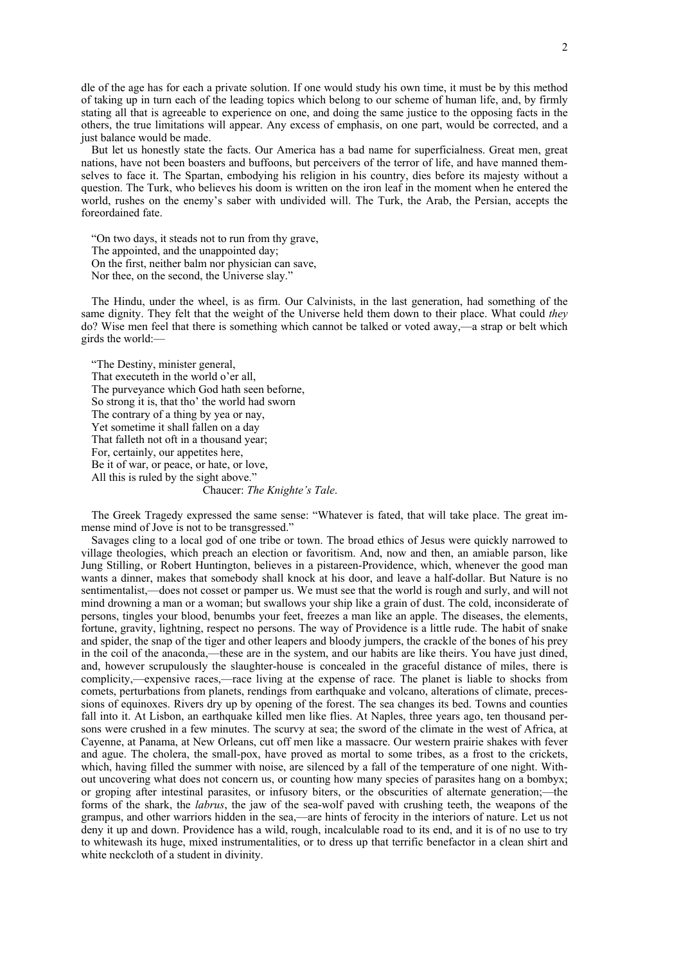dle of the age has for each a private solution. If one would study his own time, it must be by this method of taking up in turn each of the leading topics which belong to our scheme of human life, and, by firmly stating all that is agreeable to experience on one, and doing the same justice to the opposing facts in the others, the true limitations will appear. Any excess of emphasis, on one part, would be corrected, and a just balance would be made.

But let us honestly state the facts. Our America has a bad name for superficialness. Great men, great nations, have not been boasters and buffoons, but perceivers of the terror of life, and have manned themselves to face it. The Spartan, embodying his religion in his country, dies before its majesty without a question. The Turk, who believes his doom is written on the iron leaf in the moment when he entered the world, rushes on the enemy's saber with undivided will. The Turk, the Arab, the Persian, accepts the foreordained fate.

"On two days, it steads not to run from thy grave, The appointed, and the unappointed day; On the first, neither balm nor physician can save, Nor thee, on the second, the Universe slay."

The Hindu, under the wheel, is as firm. Our Calvinists, in the last generation, had something of the same dignity. They felt that the weight of the Universe held them down to their place. What could *they* do? Wise men feel that there is something which cannot be talked or voted away,—a strap or belt which girds the world:—

"The Destiny, minister general, That executeth in the world o'er all, The purveyance which God hath seen beforne, So strong it is, that tho' the world had sworn The contrary of a thing by yea or nay, Yet sometime it shall fallen on a day That falleth not oft in a thousand year; For, certainly, our appetites here, Be it of war, or peace, or hate, or love, All this is ruled by the sight above." Chaucer: *The Knighte's Tale*.

The Greek Tragedy expressed the same sense: "Whatever is fated, that will take place. The great immense mind of Jove is not to be transgressed."

Savages cling to a local god of one tribe or town. The broad ethics of Jesus were quickly narrowed to village theologies, which preach an election or favoritism. And, now and then, an amiable parson, like Jung Stilling, or Robert Huntington, believes in a pistareen-Providence, which, whenever the good man wants a dinner, makes that somebody shall knock at his door, and leave a half-dollar. But Nature is no sentimentalist,—does not cosset or pamper us. We must see that the world is rough and surly, and will not mind drowning a man or a woman; but swallows your ship like a grain of dust. The cold, inconsiderate of persons, tingles your blood, benumbs your feet, freezes a man like an apple. The diseases, the elements, fortune, gravity, lightning, respect no persons. The way of Providence is a little rude. The habit of snake and spider, the snap of the tiger and other leapers and bloody jumpers, the crackle of the bones of his prey in the coil of the anaconda,—these are in the system, and our habits are like theirs. You have just dined, and, however scrupulously the slaughter-house is concealed in the graceful distance of miles, there is complicity,—expensive races,—race living at the expense of race. The planet is liable to shocks from comets, perturbations from planets, rendings from earthquake and volcano, alterations of climate, precessions of equinoxes. Rivers dry up by opening of the forest. The sea changes its bed. Towns and counties fall into it. At Lisbon, an earthquake killed men like flies. At Naples, three years ago, ten thousand persons were crushed in a few minutes. The scurvy at sea; the sword of the climate in the west of Africa, at Cayenne, at Panama, at New Orleans, cut off men like a massacre. Our western prairie shakes with fever and ague. The cholera, the small-pox, have proved as mortal to some tribes, as a frost to the crickets, which, having filled the summer with noise, are silenced by a fall of the temperature of one night. Without uncovering what does not concern us, or counting how many species of parasites hang on a bombyx; or groping after intestinal parasites, or infusory biters, or the obscurities of alternate generation;—the forms of the shark, the *labrus*, the jaw of the sea-wolf paved with crushing teeth, the weapons of the grampus, and other warriors hidden in the sea,—are hints of ferocity in the interiors of nature. Let us not deny it up and down. Providence has a wild, rough, incalculable road to its end, and it is of no use to try to whitewash its huge, mixed instrumentalities, or to dress up that terrific benefactor in a clean shirt and white neckcloth of a student in divinity.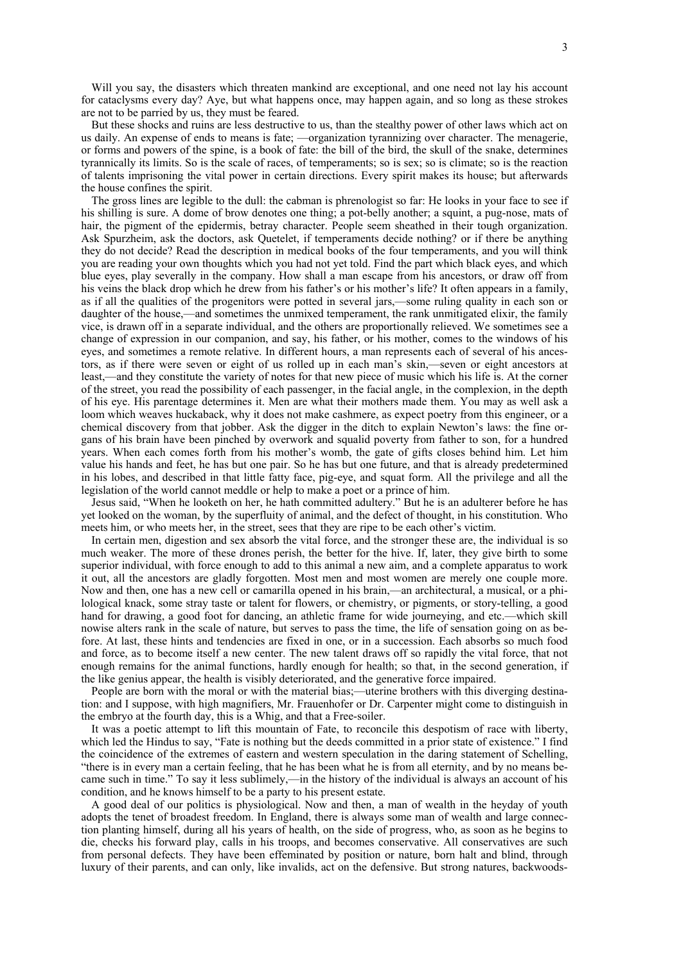Will you say, the disasters which threaten mankind are exceptional, and one need not lay his account for cataclysms every day? Aye, but what happens once, may happen again, and so long as these strokes are not to be parried by us, they must be feared.

But these shocks and ruins are less destructive to us, than the stealthy power of other laws which act on us daily. An expense of ends to means is fate; —organization tyrannizing over character. The menagerie, or forms and powers of the spine, is a book of fate: the bill of the bird, the skull of the snake, determines tyrannically its limits. So is the scale of races, of temperaments; so is sex; so is climate; so is the reaction of talents imprisoning the vital power in certain directions. Every spirit makes its house; but afterwards the house confines the spirit.

The gross lines are legible to the dull: the cabman is phrenologist so far: He looks in your face to see if his shilling is sure. A dome of brow denotes one thing; a pot-belly another; a squint, a pug-nose, mats of hair, the pigment of the epidermis, betray character. People seem sheathed in their tough organization. Ask Spurzheim, ask the doctors, ask Quetelet, if temperaments decide nothing? or if there be anything they do not decide? Read the description in medical books of the four temperaments, and you will think you are reading your own thoughts which you had not yet told. Find the part which black eyes, and which blue eyes, play severally in the company. How shall a man escape from his ancestors, or draw off from his veins the black drop which he drew from his father's or his mother's life? It often appears in a family, as if all the qualities of the progenitors were potted in several jars,—some ruling quality in each son or daughter of the house,—and sometimes the unmixed temperament, the rank unmitigated elixir, the family vice, is drawn off in a separate individual, and the others are proportionally relieved. We sometimes see a change of expression in our companion, and say, his father, or his mother, comes to the windows of his eyes, and sometimes a remote relative. In different hours, a man represents each of several of his ancestors, as if there were seven or eight of us rolled up in each man's skin,—seven or eight ancestors at least,—and they constitute the variety of notes for that new piece of music which his life is. At the corner of the street, you read the possibility of each passenger, in the facial angle, in the complexion, in the depth of his eye. His parentage determines it. Men are what their mothers made them. You may as well ask a loom which weaves huckaback, why it does not make cashmere, as expect poetry from this engineer, or a chemical discovery from that jobber. Ask the digger in the ditch to explain Newton's laws: the fine organs of his brain have been pinched by overwork and squalid poverty from father to son, for a hundred years. When each comes forth from his mother's womb, the gate of gifts closes behind him. Let him value his hands and feet, he has but one pair. So he has but one future, and that is already predetermined in his lobes, and described in that little fatty face, pig-eye, and squat form. All the privilege and all the legislation of the world cannot meddle or help to make a poet or a prince of him.

Jesus said, "When he looketh on her, he hath committed adultery." But he is an adulterer before he has yet looked on the woman, by the superfluity of animal, and the defect of thought, in his constitution. Who meets him, or who meets her, in the street, sees that they are ripe to be each other's victim.

In certain men, digestion and sex absorb the vital force, and the stronger these are, the individual is so much weaker. The more of these drones perish, the better for the hive. If, later, they give birth to some superior individual, with force enough to add to this animal a new aim, and a complete apparatus to work it out, all the ancestors are gladly forgotten. Most men and most women are merely one couple more. Now and then, one has a new cell or camarilla opened in his brain,—an architectural, a musical, or a philological knack, some stray taste or talent for flowers, or chemistry, or pigments, or story-telling, a good hand for drawing, a good foot for dancing, an athletic frame for wide journeying, and etc.—which skill nowise alters rank in the scale of nature, but serves to pass the time, the life of sensation going on as before. At last, these hints and tendencies are fixed in one, or in a succession. Each absorbs so much food and force, as to become itself a new center. The new talent draws off so rapidly the vital force, that not enough remains for the animal functions, hardly enough for health; so that, in the second generation, if the like genius appear, the health is visibly deteriorated, and the generative force impaired.

People are born with the moral or with the material bias;—uterine brothers with this diverging destination: and I suppose, with high magnifiers, Mr. Frauenhofer or Dr. Carpenter might come to distinguish in the embryo at the fourth day, this is a Whig, and that a Free-soiler.

It was a poetic attempt to lift this mountain of Fate, to reconcile this despotism of race with liberty, which led the Hindus to say, "Fate is nothing but the deeds committed in a prior state of existence." I find the coincidence of the extremes of eastern and western speculation in the daring statement of Schelling, "there is in every man a certain feeling, that he has been what he is from all eternity, and by no means became such in time." To say it less sublimely,—in the history of the individual is always an account of his condition, and he knows himself to be a party to his present estate.

A good deal of our politics is physiological. Now and then, a man of wealth in the heyday of youth adopts the tenet of broadest freedom. In England, there is always some man of wealth and large connection planting himself, during all his years of health, on the side of progress, who, as soon as he begins to die, checks his forward play, calls in his troops, and becomes conservative. All conservatives are such from personal defects. They have been effeminated by position or nature, born halt and blind, through luxury of their parents, and can only, like invalids, act on the defensive. But strong natures, backwoods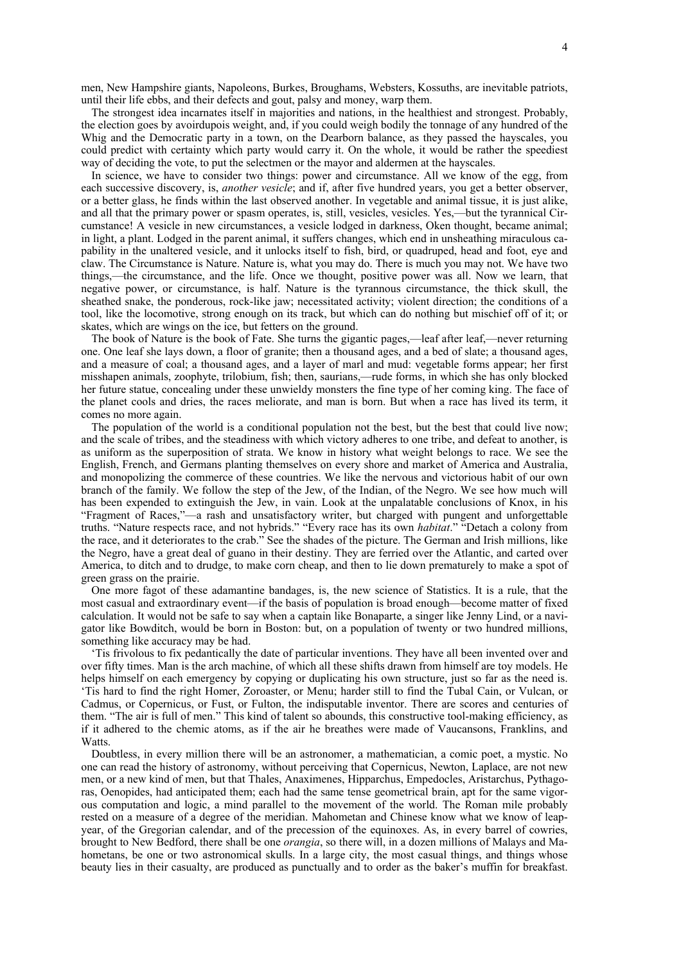men, New Hampshire giants, Napoleons, Burkes, Broughams, Websters, Kossuths, are inevitable patriots, until their life ebbs, and their defects and gout, palsy and money, warp them.

The strongest idea incarnates itself in majorities and nations, in the healthiest and strongest. Probably, the election goes by avoirdupois weight, and, if you could weigh bodily the tonnage of any hundred of the Whig and the Democratic party in a town, on the Dearborn balance, as they passed the hayscales, you could predict with certainty which party would carry it. On the whole, it would be rather the speediest way of deciding the vote, to put the selectmen or the mayor and aldermen at the hayscales.

In science, we have to consider two things: power and circumstance. All we know of the egg, from each successive discovery, is, *another vesicle*; and if, after five hundred years, you get a better observer, or a better glass, he finds within the last observed another. In vegetable and animal tissue, it is just alike, and all that the primary power or spasm operates, is, still, vesicles, vesicles. Yes,—but the tyrannical Circumstance! A vesicle in new circumstances, a vesicle lodged in darkness, Oken thought, became animal; in light, a plant. Lodged in the parent animal, it suffers changes, which end in unsheathing miraculous capability in the unaltered vesicle, and it unlocks itself to fish, bird, or quadruped, head and foot, eye and claw. The Circumstance is Nature. Nature is, what you may do. There is much you may not. We have two things,—the circumstance, and the life. Once we thought, positive power was all. Now we learn, that negative power, or circumstance, is half. Nature is the tyrannous circumstance, the thick skull, the sheathed snake, the ponderous, rock-like jaw; necessitated activity; violent direction; the conditions of a tool, like the locomotive, strong enough on its track, but which can do nothing but mischief off of it; or skates, which are wings on the ice, but fetters on the ground.

The book of Nature is the book of Fate. She turns the gigantic pages,—leaf after leaf,—never returning one. One leaf she lays down, a floor of granite; then a thousand ages, and a bed of slate; a thousand ages, and a measure of coal; a thousand ages, and a layer of marl and mud: vegetable forms appear; her first misshapen animals, zoophyte, trilobium, fish; then, saurians,—rude forms, in which she has only blocked her future statue, concealing under these unwieldy monsters the fine type of her coming king. The face of the planet cools and dries, the races meliorate, and man is born. But when a race has lived its term, it comes no more again.

The population of the world is a conditional population not the best, but the best that could live now; and the scale of tribes, and the steadiness with which victory adheres to one tribe, and defeat to another, is as uniform as the superposition of strata. We know in history what weight belongs to race. We see the English, French, and Germans planting themselves on every shore and market of America and Australia, and monopolizing the commerce of these countries. We like the nervous and victorious habit of our own branch of the family. We follow the step of the Jew, of the Indian, of the Negro. We see how much will has been expended to extinguish the Jew, in vain. Look at the unpalatable conclusions of Knox, in his "Fragment of Races,"—a rash and unsatisfactory writer, but charged with pungent and unforgettable truths. "Nature respects race, and not hybrids." "Every race has its own *habitat*." "Detach a colony from the race, and it deteriorates to the crab." See the shades of the picture. The German and Irish millions, like the Negro, have a great deal of guano in their destiny. They are ferried over the Atlantic, and carted over America, to ditch and to drudge, to make corn cheap, and then to lie down prematurely to make a spot of green grass on the prairie.

One more fagot of these adamantine bandages, is, the new science of Statistics. It is a rule, that the most casual and extraordinary event—if the basis of population is broad enough—become matter of fixed calculation. It would not be safe to say when a captain like Bonaparte, a singer like Jenny Lind, or a navigator like Bowditch, would be born in Boston: but, on a population of twenty or two hundred millions, something like accuracy may be had.

'Tis frivolous to fix pedantically the date of particular inventions. They have all been invented over and over fifty times. Man is the arch machine, of which all these shifts drawn from himself are toy models. He helps himself on each emergency by copying or duplicating his own structure, just so far as the need is. 'Tis hard to find the right Homer, Zoroaster, or Menu; harder still to find the Tubal Cain, or Vulcan, or Cadmus, or Copernicus, or Fust, or Fulton, the indisputable inventor. There are scores and centuries of them. "The air is full of men." This kind of talent so abounds, this constructive tool-making efficiency, as if it adhered to the chemic atoms, as if the air he breathes were made of Vaucansons, Franklins, and Watts.

Doubtless, in every million there will be an astronomer, a mathematician, a comic poet, a mystic. No one can read the history of astronomy, without perceiving that Copernicus, Newton, Laplace, are not new men, or a new kind of men, but that Thales, Anaximenes, Hipparchus, Empedocles, Aristarchus, Pythagoras, Oenopides, had anticipated them; each had the same tense geometrical brain, apt for the same vigorous computation and logic, a mind parallel to the movement of the world. The Roman mile probably rested on a measure of a degree of the meridian. Mahometan and Chinese know what we know of leapyear, of the Gregorian calendar, and of the precession of the equinoxes. As, in every barrel of cowries, brought to New Bedford, there shall be one *orangia*, so there will, in a dozen millions of Malays and Mahometans, be one or two astronomical skulls. In a large city, the most casual things, and things whose beauty lies in their casualty, are produced as punctually and to order as the baker's muffin for breakfast.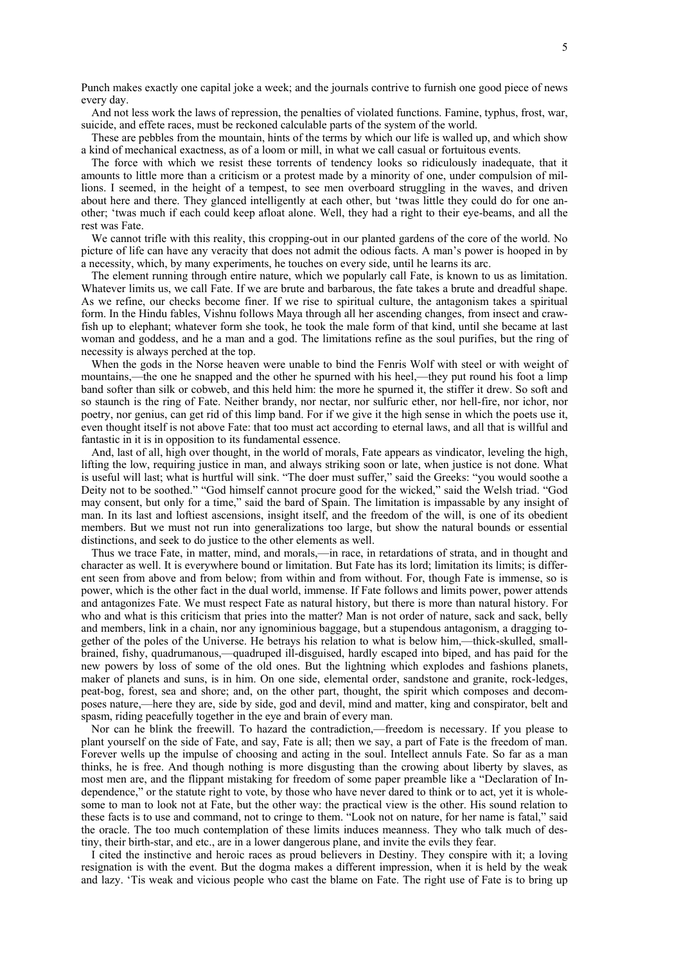Punch makes exactly one capital joke a week; and the journals contrive to furnish one good piece of news every day.

And not less work the laws of repression, the penalties of violated functions. Famine, typhus, frost, war, suicide, and effete races, must be reckoned calculable parts of the system of the world.

These are pebbles from the mountain, hints of the terms by which our life is walled up, and which show a kind of mechanical exactness, as of a loom or mill, in what we call casual or fortuitous events.

The force with which we resist these torrents of tendency looks so ridiculously inadequate, that it amounts to little more than a criticism or a protest made by a minority of one, under compulsion of millions. I seemed, in the height of a tempest, to see men overboard struggling in the waves, and driven about here and there. They glanced intelligently at each other, but 'twas little they could do for one another; 'twas much if each could keep afloat alone. Well, they had a right to their eye-beams, and all the rest was Fate.

We cannot trifle with this reality, this cropping-out in our planted gardens of the core of the world. No picture of life can have any veracity that does not admit the odious facts. A man's power is hooped in by a necessity, which, by many experiments, he touches on every side, until he learns its arc.

The element running through entire nature, which we popularly call Fate, is known to us as limitation. Whatever limits us, we call Fate. If we are brute and barbarous, the fate takes a brute and dreadful shape. As we refine, our checks become finer. If we rise to spiritual culture, the antagonism takes a spiritual form. In the Hindu fables, Vishnu follows Maya through all her ascending changes, from insect and crawfish up to elephant; whatever form she took, he took the male form of that kind, until she became at last woman and goddess, and he a man and a god. The limitations refine as the soul purifies, but the ring of necessity is always perched at the top.

When the gods in the Norse heaven were unable to bind the Fenris Wolf with steel or with weight of mountains,—the one he snapped and the other he spurned with his heel,—they put round his foot a limp band softer than silk or cobweb, and this held him: the more he spurned it, the stiffer it drew. So soft and so staunch is the ring of Fate. Neither brandy, nor nectar, nor sulfuric ether, nor hell-fire, nor ichor, nor poetry, nor genius, can get rid of this limp band. For if we give it the high sense in which the poets use it, even thought itself is not above Fate: that too must act according to eternal laws, and all that is willful and fantastic in it is in opposition to its fundamental essence.

And, last of all, high over thought, in the world of morals, Fate appears as vindicator, leveling the high, lifting the low, requiring justice in man, and always striking soon or late, when justice is not done. What is useful will last; what is hurtful will sink. "The doer must suffer," said the Greeks: "you would soothe a Deity not to be soothed." "God himself cannot procure good for the wicked," said the Welsh triad. "God may consent, but only for a time," said the bard of Spain. The limitation is impassable by any insight of man. In its last and loftiest ascensions, insight itself, and the freedom of the will, is one of its obedient members. But we must not run into generalizations too large, but show the natural bounds or essential distinctions, and seek to do justice to the other elements as well.

Thus we trace Fate, in matter, mind, and morals,—in race, in retardations of strata, and in thought and character as well. It is everywhere bound or limitation. But Fate has its lord; limitation its limits; is different seen from above and from below; from within and from without. For, though Fate is immense, so is power, which is the other fact in the dual world, immense. If Fate follows and limits power, power attends and antagonizes Fate. We must respect Fate as natural history, but there is more than natural history. For who and what is this criticism that pries into the matter? Man is not order of nature, sack and sack, belly and members, link in a chain, nor any ignominious baggage, but a stupendous antagonism, a dragging together of the poles of the Universe. He betrays his relation to what is below him,—thick-skulled, smallbrained, fishy, quadrumanous,—quadruped ill-disguised, hardly escaped into biped, and has paid for the new powers by loss of some of the old ones. But the lightning which explodes and fashions planets, maker of planets and suns, is in him. On one side, elemental order, sandstone and granite, rock-ledges, peat-bog, forest, sea and shore; and, on the other part, thought, the spirit which composes and decomposes nature,—here they are, side by side, god and devil, mind and matter, king and conspirator, belt and spasm, riding peacefully together in the eye and brain of every man.

Nor can he blink the freewill. To hazard the contradiction,—freedom is necessary. If you please to plant yourself on the side of Fate, and say, Fate is all; then we say, a part of Fate is the freedom of man. Forever wells up the impulse of choosing and acting in the soul. Intellect annuls Fate. So far as a man thinks, he is free. And though nothing is more disgusting than the crowing about liberty by slaves, as most men are, and the flippant mistaking for freedom of some paper preamble like a "Declaration of Independence," or the statute right to vote, by those who have never dared to think or to act, yet it is wholesome to man to look not at Fate, but the other way: the practical view is the other. His sound relation to these facts is to use and command, not to cringe to them. "Look not on nature, for her name is fatal," said the oracle. The too much contemplation of these limits induces meanness. They who talk much of destiny, their birth-star, and etc., are in a lower dangerous plane, and invite the evils they fear.

I cited the instinctive and heroic races as proud believers in Destiny. They conspire with it; a loving resignation is with the event. But the dogma makes a different impression, when it is held by the weak and lazy. 'Tis weak and vicious people who cast the blame on Fate. The right use of Fate is to bring up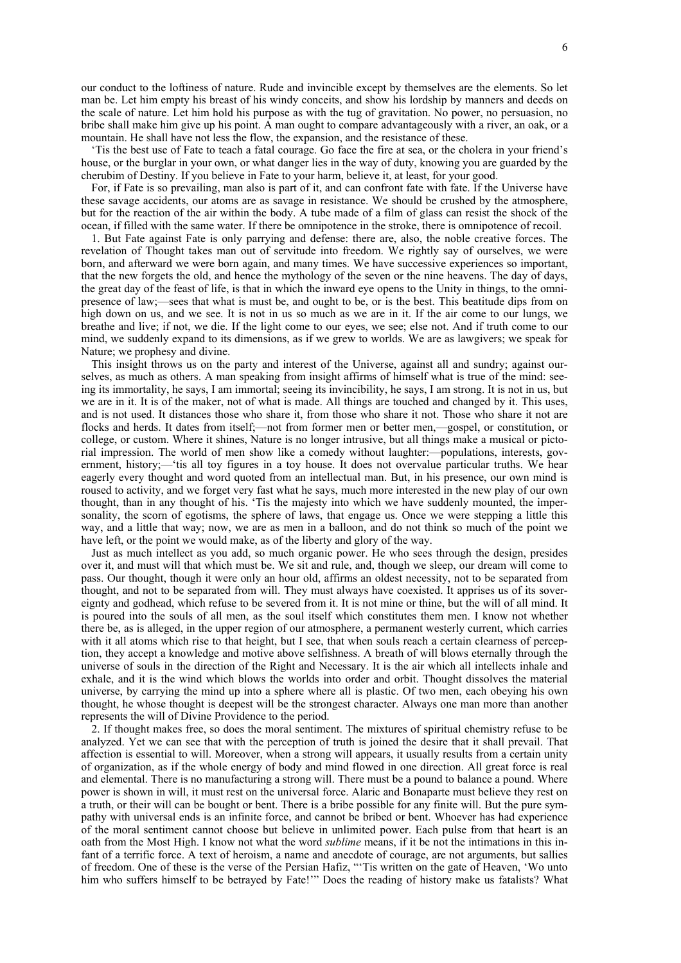our conduct to the loftiness of nature. Rude and invincible except by themselves are the elements. So let man be. Let him empty his breast of his windy conceits, and show his lordship by manners and deeds on the scale of nature. Let him hold his purpose as with the tug of gravitation. No power, no persuasion, no bribe shall make him give up his point. A man ought to compare advantageously with a river, an oak, or a mountain. He shall have not less the flow, the expansion, and the resistance of these.

'Tis the best use of Fate to teach a fatal courage. Go face the fire at sea, or the cholera in your friend's house, or the burglar in your own, or what danger lies in the way of duty, knowing you are guarded by the cherubim of Destiny. If you believe in Fate to your harm, believe it, at least, for your good.

For, if Fate is so prevailing, man also is part of it, and can confront fate with fate. If the Universe have these savage accidents, our atoms are as savage in resistance. We should be crushed by the atmosphere, but for the reaction of the air within the body. A tube made of a film of glass can resist the shock of the ocean, if filled with the same water. If there be omnipotence in the stroke, there is omnipotence of recoil.

1. But Fate against Fate is only parrying and defense: there are, also, the noble creative forces. The revelation of Thought takes man out of servitude into freedom. We rightly say of ourselves, we were born, and afterward we were born again, and many times. We have successive experiences so important, that the new forgets the old, and hence the mythology of the seven or the nine heavens. The day of days, the great day of the feast of life, is that in which the inward eye opens to the Unity in things, to the omnipresence of law;—sees that what is must be, and ought to be, or is the best. This beatitude dips from on high down on us, and we see. It is not in us so much as we are in it. If the air come to our lungs, we breathe and live; if not, we die. If the light come to our eyes, we see; else not. And if truth come to our mind, we suddenly expand to its dimensions, as if we grew to worlds. We are as lawgivers; we speak for Nature; we prophesy and divine.

This insight throws us on the party and interest of the Universe, against all and sundry; against ourselves, as much as others. A man speaking from insight affirms of himself what is true of the mind: seeing its immortality, he says, I am immortal; seeing its invincibility, he says, I am strong. It is not in us, but we are in it. It is of the maker, not of what is made. All things are touched and changed by it. This uses, and is not used. It distances those who share it, from those who share it not. Those who share it not are flocks and herds. It dates from itself;—not from former men or better men,—gospel, or constitution, or college, or custom. Where it shines, Nature is no longer intrusive, but all things make a musical or pictorial impression. The world of men show like a comedy without laughter:—populations, interests, government, history;—'tis all toy figures in a toy house. It does not overvalue particular truths. We hear eagerly every thought and word quoted from an intellectual man. But, in his presence, our own mind is roused to activity, and we forget very fast what he says, much more interested in the new play of our own thought, than in any thought of his. 'Tis the majesty into which we have suddenly mounted, the impersonality, the scorn of egotisms, the sphere of laws, that engage us. Once we were stepping a little this way, and a little that way; now, we are as men in a balloon, and do not think so much of the point we have left, or the point we would make, as of the liberty and glory of the way.

Just as much intellect as you add, so much organic power. He who sees through the design, presides over it, and must will that which must be. We sit and rule, and, though we sleep, our dream will come to pass. Our thought, though it were only an hour old, affirms an oldest necessity, not to be separated from thought, and not to be separated from will. They must always have coexisted. It apprises us of its sovereignty and godhead, which refuse to be severed from it. It is not mine or thine, but the will of all mind. It is poured into the souls of all men, as the soul itself which constitutes them men. I know not whether there be, as is alleged, in the upper region of our atmosphere, a permanent westerly current, which carries with it all atoms which rise to that height, but I see, that when souls reach a certain clearness of perception, they accept a knowledge and motive above selfishness. A breath of will blows eternally through the universe of souls in the direction of the Right and Necessary. It is the air which all intellects inhale and exhale, and it is the wind which blows the worlds into order and orbit. Thought dissolves the material universe, by carrying the mind up into a sphere where all is plastic. Of two men, each obeying his own thought, he whose thought is deepest will be the strongest character. Always one man more than another represents the will of Divine Providence to the period.

2. If thought makes free, so does the moral sentiment. The mixtures of spiritual chemistry refuse to be analyzed. Yet we can see that with the perception of truth is joined the desire that it shall prevail. That affection is essential to will. Moreover, when a strong will appears, it usually results from a certain unity of organization, as if the whole energy of body and mind flowed in one direction. All great force is real and elemental. There is no manufacturing a strong will. There must be a pound to balance a pound. Where power is shown in will, it must rest on the universal force. Alaric and Bonaparte must believe they rest on a truth, or their will can be bought or bent. There is a bribe possible for any finite will. But the pure sympathy with universal ends is an infinite force, and cannot be bribed or bent. Whoever has had experience of the moral sentiment cannot choose but believe in unlimited power. Each pulse from that heart is an oath from the Most High. I know not what the word *sublime* means, if it be not the intimations in this infant of a terrific force. A text of heroism, a name and anecdote of courage, are not arguments, but sallies of freedom. One of these is the verse of the Persian Hafiz, "'Tis written on the gate of Heaven, 'Wo unto him who suffers himself to be betrayed by Fate!'" Does the reading of history make us fatalists? What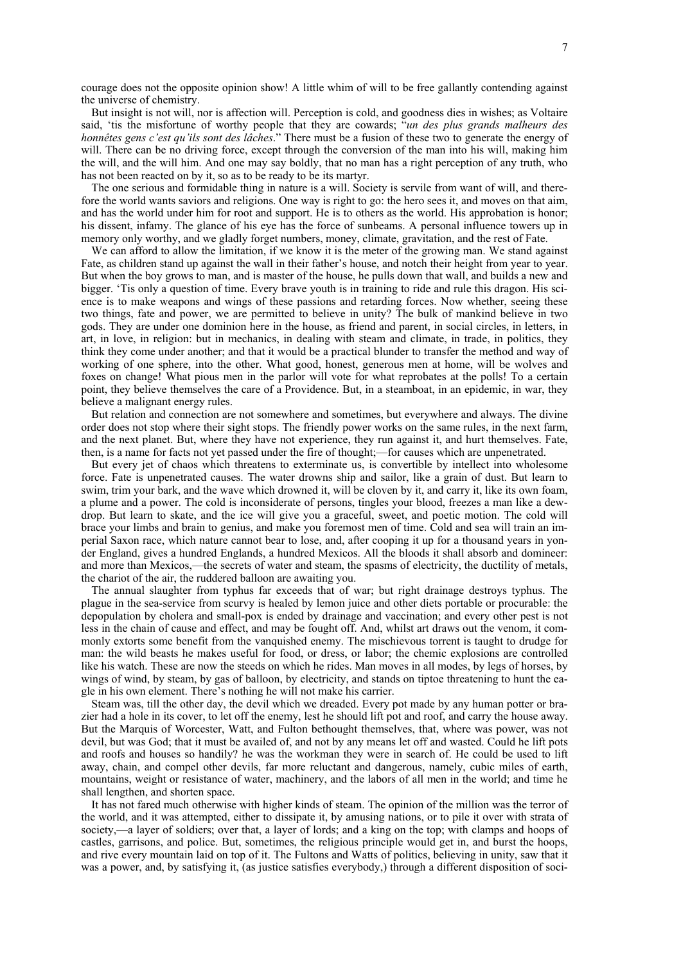courage does not the opposite opinion show! A little whim of will to be free gallantly contending against the universe of chemistry.

But insight is not will, nor is affection will. Perception is cold, and goodness dies in wishes; as Voltaire said, 'tis the misfortune of worthy people that they are cowards; "*un des plus grands malheurs des honnêtes gens c'est qu'ils sont des lâches*." There must be a fusion of these two to generate the energy of will. There can be no driving force, except through the conversion of the man into his will, making him the will, and the will him. And one may say boldly, that no man has a right perception of any truth, who has not been reacted on by it, so as to be ready to be its martyr.

The one serious and formidable thing in nature is a will. Society is servile from want of will, and therefore the world wants saviors and religions. One way is right to go: the hero sees it, and moves on that aim, and has the world under him for root and support. He is to others as the world. His approbation is honor; his dissent, infamy. The glance of his eye has the force of sunbeams. A personal influence towers up in memory only worthy, and we gladly forget numbers, money, climate, gravitation, and the rest of Fate.

We can afford to allow the limitation, if we know it is the meter of the growing man. We stand against Fate, as children stand up against the wall in their father's house, and notch their height from year to year. But when the boy grows to man, and is master of the house, he pulls down that wall, and builds a new and bigger. 'Tis only a question of time. Every brave youth is in training to ride and rule this dragon. His science is to make weapons and wings of these passions and retarding forces. Now whether, seeing these two things, fate and power, we are permitted to believe in unity? The bulk of mankind believe in two gods. They are under one dominion here in the house, as friend and parent, in social circles, in letters, in art, in love, in religion: but in mechanics, in dealing with steam and climate, in trade, in politics, they think they come under another; and that it would be a practical blunder to transfer the method and way of working of one sphere, into the other. What good, honest, generous men at home, will be wolves and foxes on change! What pious men in the parlor will vote for what reprobates at the polls! To a certain point, they believe themselves the care of a Providence. But, in a steamboat, in an epidemic, in war, they believe a malignant energy rules.

But relation and connection are not somewhere and sometimes, but everywhere and always. The divine order does not stop where their sight stops. The friendly power works on the same rules, in the next farm, and the next planet. But, where they have not experience, they run against it, and hurt themselves. Fate, then, is a name for facts not yet passed under the fire of thought;—for causes which are unpenetrated.

But every jet of chaos which threatens to exterminate us, is convertible by intellect into wholesome force. Fate is unpenetrated causes. The water drowns ship and sailor, like a grain of dust. But learn to swim, trim your bark, and the wave which drowned it, will be cloven by it, and carry it, like its own foam, a plume and a power. The cold is inconsiderate of persons, tingles your blood, freezes a man like a dewdrop. But learn to skate, and the ice will give you a graceful, sweet, and poetic motion. The cold will brace your limbs and brain to genius, and make you foremost men of time. Cold and sea will train an imperial Saxon race, which nature cannot bear to lose, and, after cooping it up for a thousand years in yonder England, gives a hundred Englands, a hundred Mexicos. All the bloods it shall absorb and domineer: and more than Mexicos,—the secrets of water and steam, the spasms of electricity, the ductility of metals, the chariot of the air, the ruddered balloon are awaiting you.

The annual slaughter from typhus far exceeds that of war; but right drainage destroys typhus. The plague in the sea-service from scurvy is healed by lemon juice and other diets portable or procurable: the depopulation by cholera and small-pox is ended by drainage and vaccination; and every other pest is not less in the chain of cause and effect, and may be fought off. And, whilst art draws out the venom, it commonly extorts some benefit from the vanquished enemy. The mischievous torrent is taught to drudge for man: the wild beasts he makes useful for food, or dress, or labor; the chemic explosions are controlled like his watch. These are now the steeds on which he rides. Man moves in all modes, by legs of horses, by wings of wind, by steam, by gas of balloon, by electricity, and stands on tiptoe threatening to hunt the eagle in his own element. There's nothing he will not make his carrier.

Steam was, till the other day, the devil which we dreaded. Every pot made by any human potter or brazier had a hole in its cover, to let off the enemy, lest he should lift pot and roof, and carry the house away. But the Marquis of Worcester, Watt, and Fulton bethought themselves, that, where was power, was not devil, but was God; that it must be availed of, and not by any means let off and wasted. Could he lift pots and roofs and houses so handily? he was the workman they were in search of. He could be used to lift away, chain, and compel other devils, far more reluctant and dangerous, namely, cubic miles of earth, mountains, weight or resistance of water, machinery, and the labors of all men in the world; and time he shall lengthen, and shorten space.

It has not fared much otherwise with higher kinds of steam. The opinion of the million was the terror of the world, and it was attempted, either to dissipate it, by amusing nations, or to pile it over with strata of society,—a layer of soldiers; over that, a layer of lords; and a king on the top; with clamps and hoops of castles, garrisons, and police. But, sometimes, the religious principle would get in, and burst the hoops, and rive every mountain laid on top of it. The Fultons and Watts of politics, believing in unity, saw that it was a power, and, by satisfying it, (as justice satisfies everybody,) through a different disposition of soci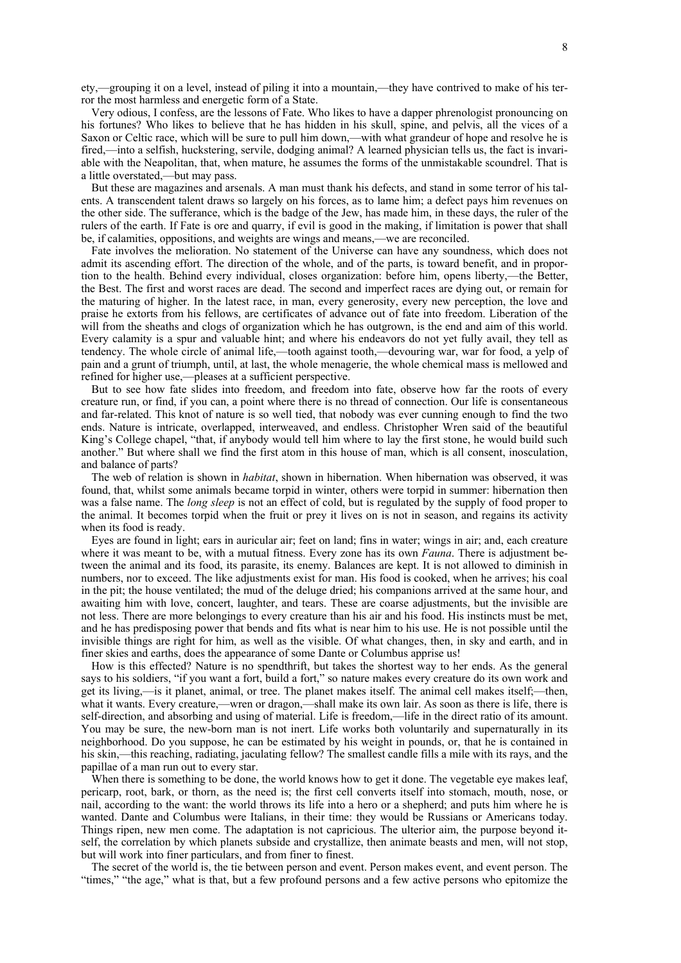ety,—grouping it on a level, instead of piling it into a mountain,—they have contrived to make of his terror the most harmless and energetic form of a State.

Very odious, I confess, are the lessons of Fate. Who likes to have a dapper phrenologist pronouncing on his fortunes? Who likes to believe that he has hidden in his skull, spine, and pelvis, all the vices of a Saxon or Celtic race, which will be sure to pull him down,—with what grandeur of hope and resolve he is fired,—into a selfish, huckstering, servile, dodging animal? A learned physician tells us, the fact is invariable with the Neapolitan, that, when mature, he assumes the forms of the unmistakable scoundrel. That is a little overstated,—but may pass.

But these are magazines and arsenals. A man must thank his defects, and stand in some terror of his talents. A transcendent talent draws so largely on his forces, as to lame him; a defect pays him revenues on the other side. The sufferance, which is the badge of the Jew, has made him, in these days, the ruler of the rulers of the earth. If Fate is ore and quarry, if evil is good in the making, if limitation is power that shall be, if calamities, oppositions, and weights are wings and means,—we are reconciled.

Fate involves the melioration. No statement of the Universe can have any soundness, which does not admit its ascending effort. The direction of the whole, and of the parts, is toward benefit, and in proportion to the health. Behind every individual, closes organization: before him, opens liberty,—the Better, the Best. The first and worst races are dead. The second and imperfect races are dying out, or remain for the maturing of higher. In the latest race, in man, every generosity, every new perception, the love and praise he extorts from his fellows, are certificates of advance out of fate into freedom. Liberation of the will from the sheaths and clogs of organization which he has outgrown, is the end and aim of this world. Every calamity is a spur and valuable hint; and where his endeavors do not yet fully avail, they tell as tendency. The whole circle of animal life,—tooth against tooth,—devouring war, war for food, a yelp of pain and a grunt of triumph, until, at last, the whole menagerie, the whole chemical mass is mellowed and refined for higher use,—pleases at a sufficient perspective.

But to see how fate slides into freedom, and freedom into fate, observe how far the roots of every creature run, or find, if you can, a point where there is no thread of connection. Our life is consentaneous and far-related. This knot of nature is so well tied, that nobody was ever cunning enough to find the two ends. Nature is intricate, overlapped, interweaved, and endless. Christopher Wren said of the beautiful King's College chapel, "that, if anybody would tell him where to lay the first stone, he would build such another." But where shall we find the first atom in this house of man, which is all consent, inosculation, and balance of parts?

The web of relation is shown in *habitat*, shown in hibernation. When hibernation was observed, it was found, that, whilst some animals became torpid in winter, others were torpid in summer: hibernation then was a false name. The *long sleep* is not an effect of cold, but is regulated by the supply of food proper to the animal. It becomes torpid when the fruit or prey it lives on is not in season, and regains its activity when its food is ready.

Eyes are found in light; ears in auricular air; feet on land; fins in water; wings in air; and, each creature where it was meant to be, with a mutual fitness. Every zone has its own *Fauna*. There is adjustment between the animal and its food, its parasite, its enemy. Balances are kept. It is not allowed to diminish in numbers, nor to exceed. The like adjustments exist for man. His food is cooked, when he arrives; his coal in the pit; the house ventilated; the mud of the deluge dried; his companions arrived at the same hour, and awaiting him with love, concert, laughter, and tears. These are coarse adjustments, but the invisible are not less. There are more belongings to every creature than his air and his food. His instincts must be met, and he has predisposing power that bends and fits what is near him to his use. He is not possible until the invisible things are right for him, as well as the visible. Of what changes, then, in sky and earth, and in finer skies and earths, does the appearance of some Dante or Columbus apprise us!

How is this effected? Nature is no spendthrift, but takes the shortest way to her ends. As the general says to his soldiers, "if you want a fort, build a fort," so nature makes every creature do its own work and get its living,—is it planet, animal, or tree. The planet makes itself. The animal cell makes itself;—then, what it wants. Every creature,—wren or dragon,—shall make its own lair. As soon as there is life, there is self-direction, and absorbing and using of material. Life is freedom,—life in the direct ratio of its amount. You may be sure, the new-born man is not inert. Life works both voluntarily and supernaturally in its neighborhood. Do you suppose, he can be estimated by his weight in pounds, or, that he is contained in his skin,—this reaching, radiating, jaculating fellow? The smallest candle fills a mile with its rays, and the papillae of a man run out to every star.

When there is something to be done, the world knows how to get it done. The vegetable eye makes leaf, pericarp, root, bark, or thorn, as the need is; the first cell converts itself into stomach, mouth, nose, or nail, according to the want: the world throws its life into a hero or a shepherd; and puts him where he is wanted. Dante and Columbus were Italians, in their time: they would be Russians or Americans today. Things ripen, new men come. The adaptation is not capricious. The ulterior aim, the purpose beyond itself, the correlation by which planets subside and crystallize, then animate beasts and men, will not stop, but will work into finer particulars, and from finer to finest.

The secret of the world is, the tie between person and event. Person makes event, and event person. The "times," "the age," what is that, but a few profound persons and a few active persons who epitomize the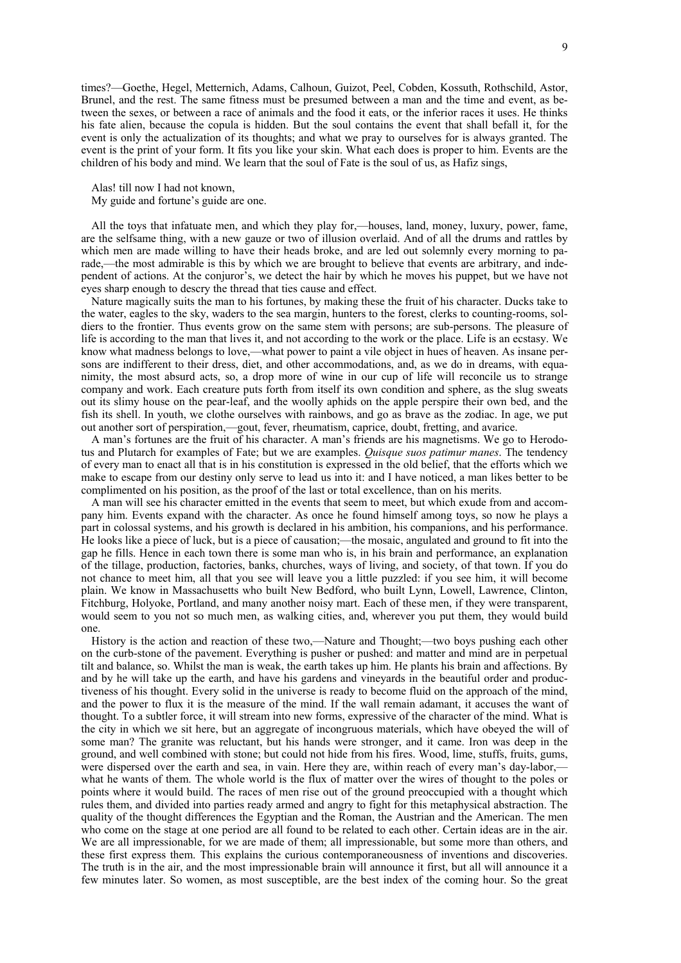times?—Goethe, Hegel, Metternich, Adams, Calhoun, Guizot, Peel, Cobden, Kossuth, Rothschild, Astor, Brunel, and the rest. The same fitness must be presumed between a man and the time and event, as between the sexes, or between a race of animals and the food it eats, or the inferior races it uses. He thinks his fate alien, because the copula is hidden. But the soul contains the event that shall befall it, for the event is only the actualization of its thoughts; and what we pray to ourselves for is always granted. The event is the print of your form. It fits you like your skin. What each does is proper to him. Events are the children of his body and mind. We learn that the soul of Fate is the soul of us, as Hafiz sings,

Alas! till now I had not known,

My guide and fortune's guide are one.

All the toys that infatuate men, and which they play for,—houses, land, money, luxury, power, fame, are the selfsame thing, with a new gauze or two of illusion overlaid. And of all the drums and rattles by which men are made willing to have their heads broke, and are led out solemnly every morning to parade,—the most admirable is this by which we are brought to believe that events are arbitrary, and independent of actions. At the conjuror's, we detect the hair by which he moves his puppet, but we have not eyes sharp enough to descry the thread that ties cause and effect.

Nature magically suits the man to his fortunes, by making these the fruit of his character. Ducks take to the water, eagles to the sky, waders to the sea margin, hunters to the forest, clerks to counting-rooms, soldiers to the frontier. Thus events grow on the same stem with persons; are sub-persons. The pleasure of life is according to the man that lives it, and not according to the work or the place. Life is an ecstasy. We know what madness belongs to love,—what power to paint a vile object in hues of heaven. As insane persons are indifferent to their dress, diet, and other accommodations, and, as we do in dreams, with equanimity, the most absurd acts, so, a drop more of wine in our cup of life will reconcile us to strange company and work. Each creature puts forth from itself its own condition and sphere, as the slug sweats out its slimy house on the pear-leaf, and the woolly aphids on the apple perspire their own bed, and the fish its shell. In youth, we clothe ourselves with rainbows, and go as brave as the zodiac. In age, we put out another sort of perspiration,—gout, fever, rheumatism, caprice, doubt, fretting, and avarice.

A man's fortunes are the fruit of his character. A man's friends are his magnetisms. We go to Herodotus and Plutarch for examples of Fate; but we are examples. *Quisque suos patimur manes*. The tendency of every man to enact all that is in his constitution is expressed in the old belief, that the efforts which we make to escape from our destiny only serve to lead us into it: and I have noticed, a man likes better to be complimented on his position, as the proof of the last or total excellence, than on his merits.

A man will see his character emitted in the events that seem to meet, but which exude from and accompany him. Events expand with the character. As once he found himself among toys, so now he plays a part in colossal systems, and his growth is declared in his ambition, his companions, and his performance. He looks like a piece of luck, but is a piece of causation;—the mosaic, angulated and ground to fit into the gap he fills. Hence in each town there is some man who is, in his brain and performance, an explanation of the tillage, production, factories, banks, churches, ways of living, and society, of that town. If you do not chance to meet him, all that you see will leave you a little puzzled: if you see him, it will become plain. We know in Massachusetts who built New Bedford, who built Lynn, Lowell, Lawrence, Clinton, Fitchburg, Holyoke, Portland, and many another noisy mart. Each of these men, if they were transparent, would seem to you not so much men, as walking cities, and, wherever you put them, they would build one.

History is the action and reaction of these two,—Nature and Thought;—two boys pushing each other on the curb-stone of the pavement. Everything is pusher or pushed: and matter and mind are in perpetual tilt and balance, so. Whilst the man is weak, the earth takes up him. He plants his brain and affections. By and by he will take up the earth, and have his gardens and vineyards in the beautiful order and productiveness of his thought. Every solid in the universe is ready to become fluid on the approach of the mind, and the power to flux it is the measure of the mind. If the wall remain adamant, it accuses the want of thought. To a subtler force, it will stream into new forms, expressive of the character of the mind. What is the city in which we sit here, but an aggregate of incongruous materials, which have obeyed the will of some man? The granite was reluctant, but his hands were stronger, and it came. Iron was deep in the ground, and well combined with stone; but could not hide from his fires. Wood, lime, stuffs, fruits, gums, were dispersed over the earth and sea, in vain. Here they are, within reach of every man's day-labor, what he wants of them. The whole world is the flux of matter over the wires of thought to the poles or points where it would build. The races of men rise out of the ground preoccupied with a thought which rules them, and divided into parties ready armed and angry to fight for this metaphysical abstraction. The quality of the thought differences the Egyptian and the Roman, the Austrian and the American. The men who come on the stage at one period are all found to be related to each other. Certain ideas are in the air. We are all impressionable, for we are made of them; all impressionable, but some more than others, and these first express them. This explains the curious contemporaneousness of inventions and discoveries. The truth is in the air, and the most impressionable brain will announce it first, but all will announce it a few minutes later. So women, as most susceptible, are the best index of the coming hour. So the great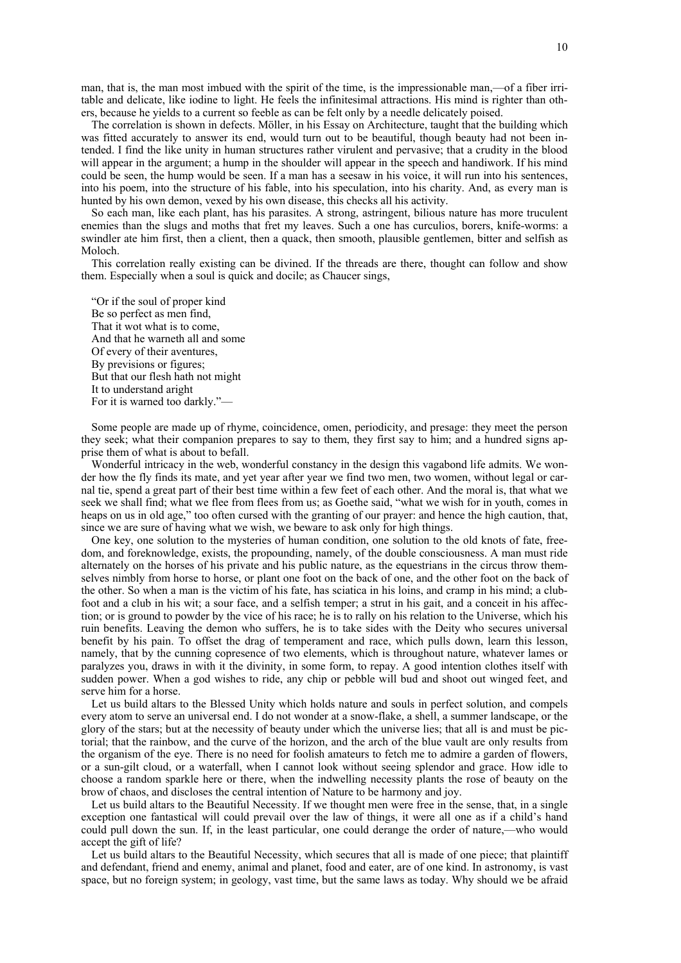man, that is, the man most imbued with the spirit of the time, is the impressionable man,—of a fiber irritable and delicate, like iodine to light. He feels the infinitesimal attractions. His mind is righter than others, because he yields to a current so feeble as can be felt only by a needle delicately poised.

The correlation is shown in defects. Möller, in his Essay on Architecture, taught that the building which was fitted accurately to answer its end, would turn out to be beautiful, though beauty had not been intended. I find the like unity in human structures rather virulent and pervasive; that a crudity in the blood will appear in the argument; a hump in the shoulder will appear in the speech and handiwork. If his mind could be seen, the hump would be seen. If a man has a seesaw in his voice, it will run into his sentences, into his poem, into the structure of his fable, into his speculation, into his charity. And, as every man is hunted by his own demon, vexed by his own disease, this checks all his activity.

So each man, like each plant, has his parasites. A strong, astringent, bilious nature has more truculent enemies than the slugs and moths that fret my leaves. Such a one has curculios, borers, knife-worms: a swindler ate him first, then a client, then a quack, then smooth, plausible gentlemen, bitter and selfish as Moloch.

This correlation really existing can be divined. If the threads are there, thought can follow and show them. Especially when a soul is quick and docile; as Chaucer sings,

"Or if the soul of proper kind Be so perfect as men find, That it wot what is to come, And that he warneth all and some Of every of their aventures, By previsions or figures; But that our flesh hath not might It to understand aright For it is warned too darkly."—

Some people are made up of rhyme, coincidence, omen, periodicity, and presage: they meet the person they seek; what their companion prepares to say to them, they first say to him; and a hundred signs apprise them of what is about to befall.

Wonderful intricacy in the web, wonderful constancy in the design this vagabond life admits. We wonder how the fly finds its mate, and yet year after year we find two men, two women, without legal or carnal tie, spend a great part of their best time within a few feet of each other. And the moral is, that what we seek we shall find; what we flee from flees from us; as Goethe said, "what we wish for in youth, comes in heaps on us in old age," too often cursed with the granting of our prayer: and hence the high caution, that, since we are sure of having what we wish, we beware to ask only for high things.

One key, one solution to the mysteries of human condition, one solution to the old knots of fate, freedom, and foreknowledge, exists, the propounding, namely, of the double consciousness. A man must ride alternately on the horses of his private and his public nature, as the equestrians in the circus throw themselves nimbly from horse to horse, or plant one foot on the back of one, and the other foot on the back of the other. So when a man is the victim of his fate, has sciatica in his loins, and cramp in his mind; a clubfoot and a club in his wit; a sour face, and a selfish temper; a strut in his gait, and a conceit in his affection; or is ground to powder by the vice of his race; he is to rally on his relation to the Universe, which his ruin benefits. Leaving the demon who suffers, he is to take sides with the Deity who secures universal benefit by his pain. To offset the drag of temperament and race, which pulls down, learn this lesson, namely, that by the cunning copresence of two elements, which is throughout nature, whatever lames or paralyzes you, draws in with it the divinity, in some form, to repay. A good intention clothes itself with sudden power. When a god wishes to ride, any chip or pebble will bud and shoot out winged feet, and serve him for a horse.

Let us build altars to the Blessed Unity which holds nature and souls in perfect solution, and compels every atom to serve an universal end. I do not wonder at a snow-flake, a shell, a summer landscape, or the glory of the stars; but at the necessity of beauty under which the universe lies; that all is and must be pictorial; that the rainbow, and the curve of the horizon, and the arch of the blue vault are only results from the organism of the eye. There is no need for foolish amateurs to fetch me to admire a garden of flowers, or a sun-gilt cloud, or a waterfall, when I cannot look without seeing splendor and grace. How idle to choose a random sparkle here or there, when the indwelling necessity plants the rose of beauty on the brow of chaos, and discloses the central intention of Nature to be harmony and joy.

Let us build altars to the Beautiful Necessity. If we thought men were free in the sense, that, in a single exception one fantastical will could prevail over the law of things, it were all one as if a child's hand could pull down the sun. If, in the least particular, one could derange the order of nature,—who would accept the gift of life?

Let us build altars to the Beautiful Necessity, which secures that all is made of one piece; that plaintiff and defendant, friend and enemy, animal and planet, food and eater, are of one kind. In astronomy, is vast space, but no foreign system; in geology, vast time, but the same laws as today. Why should we be afraid